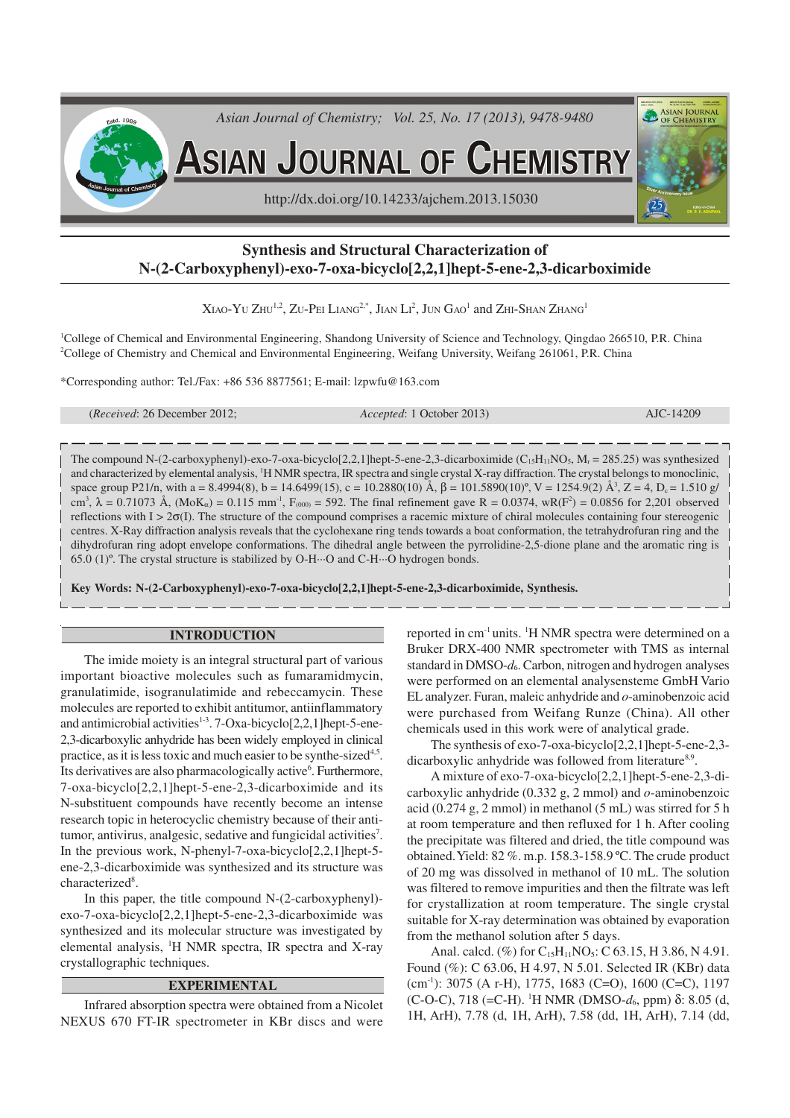

# **Synthesis and Structural Characterization of N-(2-Carboxyphenyl)-exo-7-oxa-bicyclo[2,2,1]hept-5-ene-2,3-dicarboximide**

Xiao-Yu Zhu<sup>1,2</sup>, Zu-Pei Liang<sup>2,\*</sup>, Jian Li $^2$ , Jun Gao $^1$  and Zhi-Shan Zhang $^1$ 

<sup>1</sup>College of Chemical and Environmental Engineering, Shandong University of Science and Technology, Qingdao 266510, P.R. China <sup>2</sup>College of Chemistry and Chemical and Environmental Engineering, Weifang University, Weifang 261061, P.R. China

\*Corresponding author: Tel./Fax: +86 536 8877561; E-mail: lzpwfu@163.com

| ( <i>Received:</i> 26 December 2012; | Accepted: 1 October 2013) | AJC-14209 |
|--------------------------------------|---------------------------|-----------|
|                                      |                           |           |

The compound N-(2-carboxyphenyl)-exo-7-oxa-bicyclo[2,2,1]hept-5-ene-2,3-dicarboximide ( $C_{15}H_{11}NO_5$ ,  $M_r = 285.25$ ) was synthesized and characterized by elemental analysis, <sup>1</sup>H NMR spectra, IR spectra and single crystal X-ray diffraction. The crystal belongs to monoclinic, space group P21/n, with a = 8.4994(8), b = 14.6499(15), c = 10.2880(10)  $\AA$ ,  $\beta$  = 101.5890(10)°, V = 1254.9(2)  $\AA$ <sup>3</sup>, Z = 4, D<sub>c</sub> = 1.510 g/ cm<sup>3</sup>,  $\lambda = 0.71073$  Å, (MoK<sub>α</sub>) = 0.115 mm<sup>-1</sup>, F<sub>(000)</sub> = 592. The final refinement gave R = 0.0374, wR(F<sup>2</sup>) = 0.0856 for 2,201 observed reflections with  $I > 2\sigma(I)$ . The structure of the compound comprises a racemic mixture of chiral molecules containing four stereogenic centres. X-Ray diffraction analysis reveals that the cyclohexane ring tends towards a boat conformation, the tetrahydrofuran ring and the dihydrofuran ring adopt envelope conformations. The dihedral angle between the pyrrolidine-2,5-dione plane and the aromatic ring is 65.0 (1)º. The crystal structure is stabilized by O-H···O and C-H···O hydrogen bonds.

**Key Words: N-(2-Carboxyphenyl)-exo-7-oxa-bicyclo[2,2,1]hept-5-ene-2,3-dicarboximide, Synthesis.**

### **INTRODUCTION**

The imide moiety is an integral structural part of various important bioactive molecules such as fumaramidmycin, granulatimide, isogranulatimide and rebeccamycin. These molecules are reported to exhibit antitumor, antiinflammatory and antimicrobial activities<sup>1-3</sup>. 7-Oxa-bicyclo<sup>[2,2,1]</sup>hept-5-ene-2,3-dicarboxylic anhydride has been widely employed in clinical practice, as it is less toxic and much easier to be synthe-sized<sup>4,5</sup>. Its derivatives are also pharmacologically active<sup>6</sup>. Furthermore, 7-oxa-bicyclo[2,2,1]hept-5-ene-2,3-dicarboximide and its N-substituent compounds have recently become an intense research topic in heterocyclic chemistry because of their antitumor, antivirus, analgesic, sedative and fungicidal activities<sup>7</sup>. In the previous work, N-phenyl-7-oxa-bicyclo[2,2,1]hept-5 ene-2,3-dicarboximide was synthesized and its structure was characterized<sup>8</sup>.

In this paper, the title compound N-(2-carboxyphenyl) exo-7-oxa-bicyclo[2,2,1]hept-5-ene-2,3-dicarboximide was synthesized and its molecular structure was investigated by elemental analysis, <sup>1</sup>H NMR spectra, IR spectra and X-ray crystallographic techniques.

## **EXPERIMENTAL**

Infrared absorption spectra were obtained from a Nicolet NEXUS 670 FT-IR spectrometer in KBr discs and were

reported in cm<sup>-1</sup> units. <sup>1</sup>H NMR spectra were determined on a Bruker DRX-400 NMR spectrometer with TMS as internal standard in DMSO- $d_6$ . Carbon, nitrogen and hydrogen analyses were performed on an elemental analysensteme GmbH Vario EL analyzer. Furan, maleic anhydride and *o*-aminobenzoic acid were purchased from Weifang Runze (China). All other chemicals used in this work were of analytical grade.

The synthesis of exo-7-oxa-bicyclo[2,2,1]hept-5-ene-2,3 dicarboxylic anhydride was followed from literature<sup>8,9</sup>.

A mixture of exo-7-oxa-bicyclo[2,2,1]hept-5-ene-2,3-dicarboxylic anhydride (0.332 g, 2 mmol) and *o*-aminobenzoic acid (0.274 g, 2 mmol) in methanol (5 mL) was stirred for 5 h at room temperature and then refluxed for 1 h. After cooling the precipitate was filtered and dried, the title compound was obtained. Yield: 82 %. m.p. 158.3-158.9 ºC. The crude product of 20 mg was dissolved in methanol of 10 mL. The solution was filtered to remove impurities and then the filtrate was left for crystallization at room temperature. The single crystal suitable for X-ray determination was obtained by evaporation from the methanol solution after 5 days.

Anal. calcd. (%) for  $C_{15}H_{11}NO_5$ : C 63.15, H 3.86, N 4.91. Found (%): C 63.06, H 4.97, N 5.01. Selected IR (KBr) data  $(cm<sup>-1</sup>)$ : 3075 (A r-H), 1775, 1683 (C=O), 1600 (C=C), 1197 (C-O-C), 718 (=C-H). <sup>1</sup>H NMR (DMSO-*d*6, ppm) δ: 8.05 (d, 1H, ArH), 7.78 (d, 1H, ArH), 7.58 (dd, 1H, ArH), 7.14 (dd,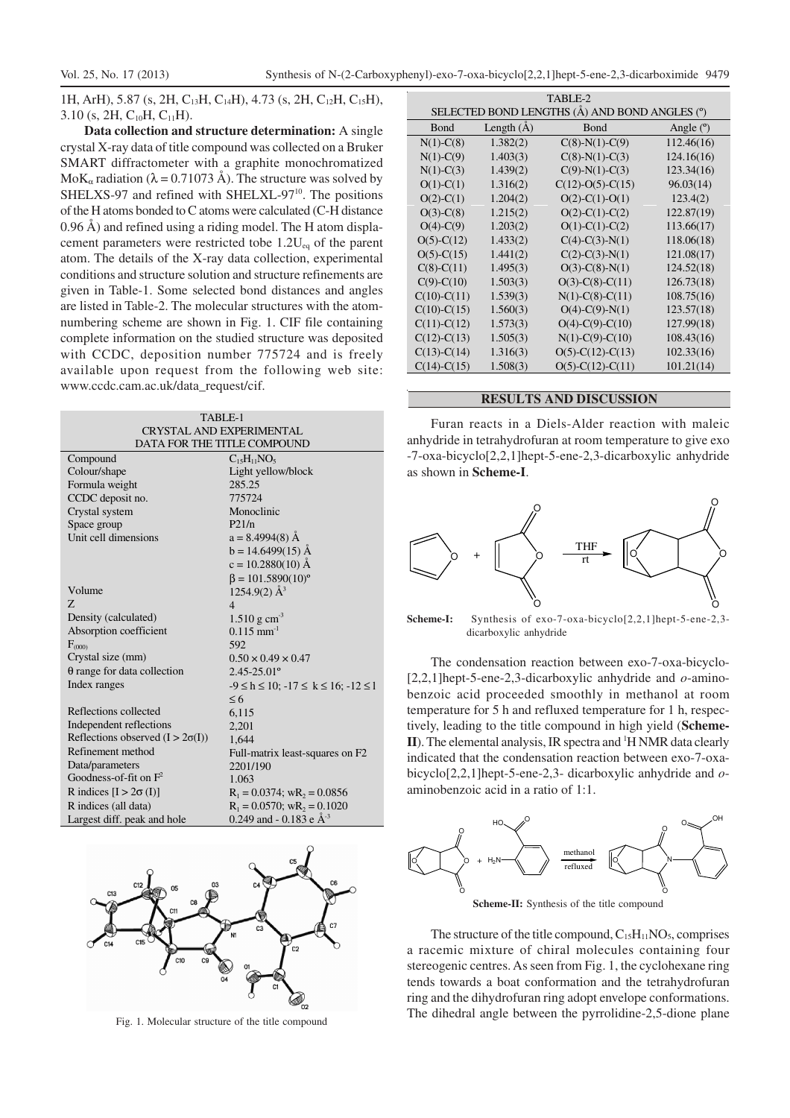1H, ArH), 5.87 (s, 2H, C<sub>13</sub>H, C<sub>14</sub>H), 4.73 (s, 2H, C<sub>12</sub>H, C<sub>15</sub>H),  $3.10$  (s, 2H,  $C_{10}$ H,  $C_{11}$ H).

**Data collection and structure determination:** A single crystal X-ray data of title compound was collected on a Bruker SMART diffractometer with a graphite monochromatized MoK<sub>α</sub> radiation ( $\lambda$  = 0.71073 Å). The structure was solved by SHELXS-97 and refined with SHELXL-97<sup>10</sup>. The positions of the H atoms bonded to C atoms were calculated (C-H distance 0.96 Å) and refined using a riding model. The H atom displacement parameters were restricted tobe  $1.2U_{eq}$  of the parent atom. The details of the X-ray data collection, experimental conditions and structure solution and structure refinements are given in Table-1. Some selected bond distances and angles are listed in Table-2. The molecular structures with the atomnumbering scheme are shown in Fig. 1. CIF file containing complete information on the studied structure was deposited with CCDC, deposition number 775724 and is freely available upon request from the following web site: www.ccdc.cam.ac.uk/data\_request/cif.

| TABLE-1<br>CRYSTAL AND EXPERIMENTAL<br>DATA FOR THE TITLE COMPOUND |                                                      |  |  |  |
|--------------------------------------------------------------------|------------------------------------------------------|--|--|--|
| Compound                                                           | $C_{15}H_{11}NO_5$                                   |  |  |  |
| Colour/shape                                                       | Light yellow/block                                   |  |  |  |
| Formula weight                                                     | 285.25                                               |  |  |  |
| CCDC deposit no.                                                   | 775724                                               |  |  |  |
| Crystal system                                                     | Monoclinic                                           |  |  |  |
| Space group                                                        | P21/n                                                |  |  |  |
| Unit cell dimensions                                               | $a = 8.4994(8)$ Å                                    |  |  |  |
|                                                                    | $b = 14.6499(15)$ Å                                  |  |  |  |
|                                                                    | $c = 10.2880(10)$ Å                                  |  |  |  |
|                                                                    | $\beta = 101.5890(10)^{\circ}$                       |  |  |  |
| Volume                                                             | $1254.9(2)$ $\AA$ <sup>3</sup>                       |  |  |  |
| Z                                                                  | $\overline{4}$                                       |  |  |  |
| Density (calculated)                                               | $1.510 \text{ g cm}^{-3}$                            |  |  |  |
| Absorption coefficient                                             | $0.115$ mm <sup>-1</sup>                             |  |  |  |
| $F_{(000)}$                                                        | 592                                                  |  |  |  |
| Crystal size (mm)                                                  | $0.50 \times 0.49 \times 0.47$                       |  |  |  |
| $\theta$ range for data collection                                 | $2.45 - 25.01$ °                                     |  |  |  |
| Index ranges                                                       | $-9 \le h \le 10$ ; $-17 \le k \le 16$ ; $-12 \le l$ |  |  |  |
|                                                                    | $\leq 6$                                             |  |  |  |
| Reflections collected                                              | 6,115                                                |  |  |  |
| Independent reflections                                            | 2,201                                                |  |  |  |
| Reflections observed $(I > 2\sigma(I))$                            | 1.644                                                |  |  |  |
| Refinement method                                                  | Full-matrix least-squares on F2                      |  |  |  |
| Data/parameters                                                    | 2201/190                                             |  |  |  |
| Goodness-of-fit on $F^2$                                           | 1.063                                                |  |  |  |
| R indices $[I > 2\sigma(I)]$                                       | $R_1 = 0.0374$ ; wR <sub>2</sub> = 0.0856            |  |  |  |
| R indices (all data)                                               | $R_1 = 0.0570$ ; wR <sub>2</sub> = 0.1020            |  |  |  |
| Largest diff. peak and hole                                        | 0.249 and - 0.183 e $\AA$ <sup>-3</sup>              |  |  |  |



Fig. 1. Molecular structure of the title compound

| TABLE-2                                       |              |                     |             |  |  |  |
|-----------------------------------------------|--------------|---------------------|-------------|--|--|--|
| SELECTED BOND LENGTHS (Å) AND BOND ANGLES (°) |              |                     |             |  |  |  |
| Bond                                          | Length $(A)$ | <b>Bond</b>         | Angle $(°)$ |  |  |  |
| $N(1)-C(8)$                                   | 1.382(2)     | $C(8)-N(1)-C(9)$    | 112.46(16)  |  |  |  |
| $N(1)-C(9)$                                   | 1.403(3)     | $C(8)-N(1)-C(3)$    | 124.16(16)  |  |  |  |
| $N(1)-C(3)$                                   | 1.439(2)     | $C(9)-N(1)-C(3)$    | 123.34(16)  |  |  |  |
| $O(1)-C(1)$                                   | 1.316(2)     | $C(12)-O(5)-C(15)$  | 96.03(14)   |  |  |  |
| $O(2)$ -C(1)                                  | 1.204(2)     | $O(2)$ -C(1)-O(1)   | 123.4(2)    |  |  |  |
| $O(3)$ -C(8)                                  | 1.215(2)     | $O(2)$ -C(1)-C(2)   | 122.87(19)  |  |  |  |
| $O(4)-C(9)$                                   | 1.203(2)     | $O(1)$ -C(1)-C(2)   | 113.66(17)  |  |  |  |
| $O(5)$ -C $(12)$                              | 1.433(2)     | $C(4)-C(3)-N(1)$    | 118.06(18)  |  |  |  |
| $O(5)$ -C $(15)$                              | 1.441(2)     | $C(2)-C(3)-N(1)$    | 121.08(17)  |  |  |  |
| $C(8)-C(11)$                                  | 1.495(3)     | $O(3)-C(8)-N(1)$    | 124.52(18)  |  |  |  |
| $C(9)$ - $C(10)$                              | 1.503(3)     | $O(3)-C(8)-C(11)$   | 126.73(18)  |  |  |  |
| $C(10)-C(11)$                                 | 1.539(3)     | $N(1)-C(8)-C(11)$   | 108.75(16)  |  |  |  |
| $C(10)-C(15)$                                 | 1.560(3)     | $O(4)$ -C(9)-N(1)   | 123.57(18)  |  |  |  |
| $C(11)-C(12)$                                 | 1.573(3)     | $O(4)$ -C(9)-C(10)  | 127.99(18)  |  |  |  |
| $C(12) - C(13)$                               | 1.505(3)     | $N(1)-C(9)-C(10)$   | 108.43(16)  |  |  |  |
| $C(13)-C(14)$                                 | 1.316(3)     | $O(5)$ -C(12)-C(13) | 102.33(16)  |  |  |  |
| $C(14)-C(15)$                                 | 1.508(3)     | $O(5)$ -C(12)-C(11) | 101.21(14)  |  |  |  |
|                                               |              |                     |             |  |  |  |

### **RESULTS AND DISCUSSION**

Furan reacts in a Diels-Alder reaction with maleic anhydride in tetrahydrofuran at room temperature to give exo -7-oxa-bicyclo[2,2,1]hept-5-ene-2,3-dicarboxylic anhydride as shown in **Scheme-I**.



**Scheme-I:** Synthesis of exo-7-oxa-bicyclo[2,2,1]hept-5-ene-2,3 dicarboxylic anhydride

The condensation reaction between exo-7-oxa-bicyclo- [2,2,1]hept-5-ene-2,3-dicarboxylic anhydride and *o*-aminobenzoic acid proceeded smoothly in methanol at room temperature for 5 h and refluxed temperature for 1 h, respectively, leading to the title compound in high yield (**Scheme-II**). The elemental analysis, IR spectra and <sup>1</sup>H NMR data clearly indicated that the condensation reaction between exo-7-oxabicyclo[2,2,1]hept-5-ene-2,3- dicarboxylic anhydride and *o*aminobenzoic acid in a ratio of 1:1.



**Scheme-II:** Synthesis of the title compound

The structure of the title compound,  $C_{15}H_{11}NO_5$ , comprises a racemic mixture of chiral molecules containing four stereogenic centres. As seen from Fig. 1, the cyclohexane ring tends towards a boat conformation and the tetrahydrofuran ring and the dihydrofuran ring adopt envelope conformations. The dihedral angle between the pyrrolidine-2,5-dione plane